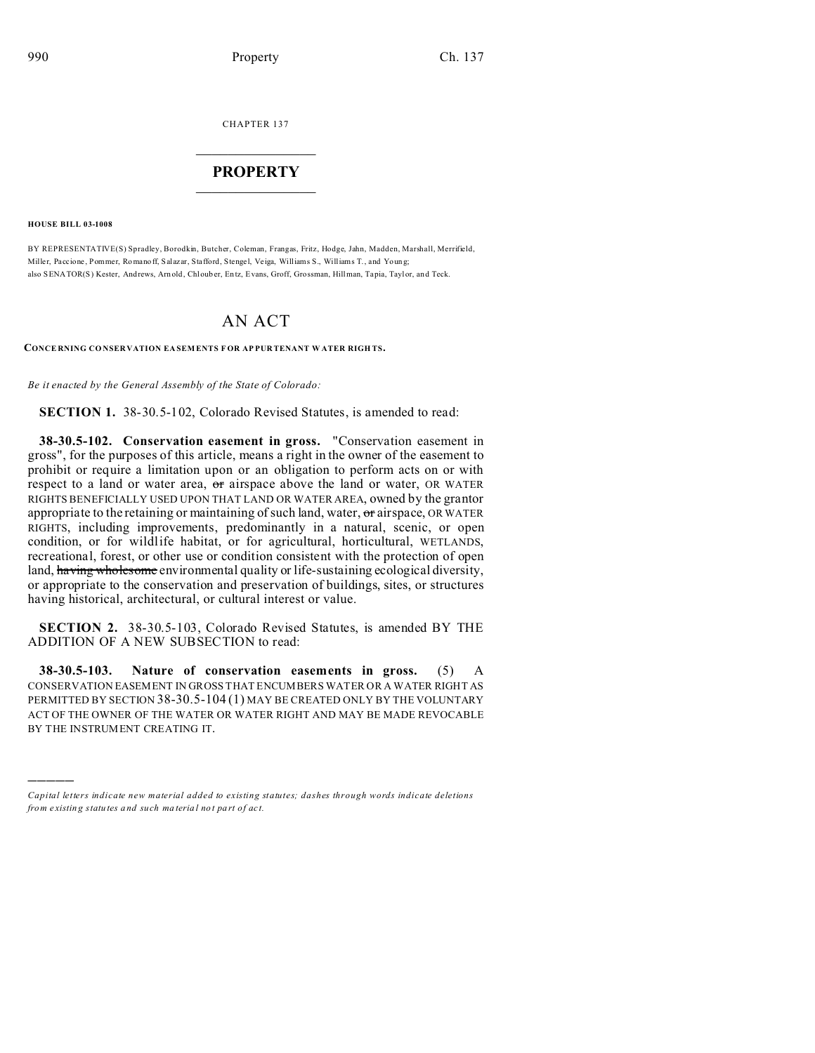CHAPTER 137  $\overline{\phantom{a}}$  , where  $\overline{\phantom{a}}$ 

## **PROPERTY**  $\_$   $\_$   $\_$   $\_$   $\_$   $\_$   $\_$   $\_$   $\_$   $\_$

**HOUSE BILL 03-1008**

)))))

BY REPRESENTATIVE(S) Spradley, Borodkin, Butcher, Coleman, Frangas, Fritz, Hodge, Jahn, Madden, Marshall, Merrifield, Miller, Paccione, Pommer, Romano ff, Salazar, Stafford, Stengel, Veiga, Williams S., Williams T., and Young; also SENATOR(S) Kester, Andrews, Arn old, Chl oub er, En tz, Evans, Groff, Grossman, Hillman, Tapia, Taylor, an d Teck.

## AN ACT

**CONCE RNING CO NSER VATION EA SEMENTS F OR AP PUR TENANT W ATER RIGH TS.**

*Be it enacted by the General Assembly of the State of Colorado:*

**SECTION 1.** 38-30.5-102, Colorado Revised Statutes, is amended to read:

**38-30.5-102. Conservation easement in gross.** "Conservation easement in gross", for the purposes of this article, means a right in the owner of the easement to prohibit or require a limitation upon or an obligation to perform acts on or with respect to a land or water area, or airspace above the land or water, OR WATER RIGHTS BENEFICIALLY USED UPON THAT LAND OR WATER AREA, owned by the grantor appropriate to the retaining or maintaining of such land, water, or airspace, OR WATER RIGHTS, including improvements, predominantly in a natural, scenic, or open condition, or for wildlife habitat, or for agricultural, horticultural, WETLANDS, recreational, forest, or other use or condition consistent with the protection of open land, having wholesome environmental quality or life-sustaining ecological diversity, or appropriate to the conservation and preservation of buildings, sites, or structures having historical, architectural, or cultural interest or value.

**SECTION 2.** 38-30.5-103, Colorado Revised Statutes, is amended BY THE ADDITION OF A NEW SUBSECTION to read:

**38-30.5-103. Nature of conservation easements in gross.** (5) A CONSERVATION EASEMENT IN GROSS THAT ENCUMBERS WATER OR A WATER RIGHT AS PERMITTED BY SECTION 38-30.5-104 (1) MAY BE CREATED ONLY BY THE VOLUNTARY ACT OF THE OWNER OF THE WATER OR WATER RIGHT AND MAY BE MADE REVOCABLE BY THE INSTRUMENT CREATING IT.

*Capital letters indicate new material added to existing statutes; dashes through words indicate deletions from e xistin g statu tes a nd such ma teria l no t pa rt of ac t.*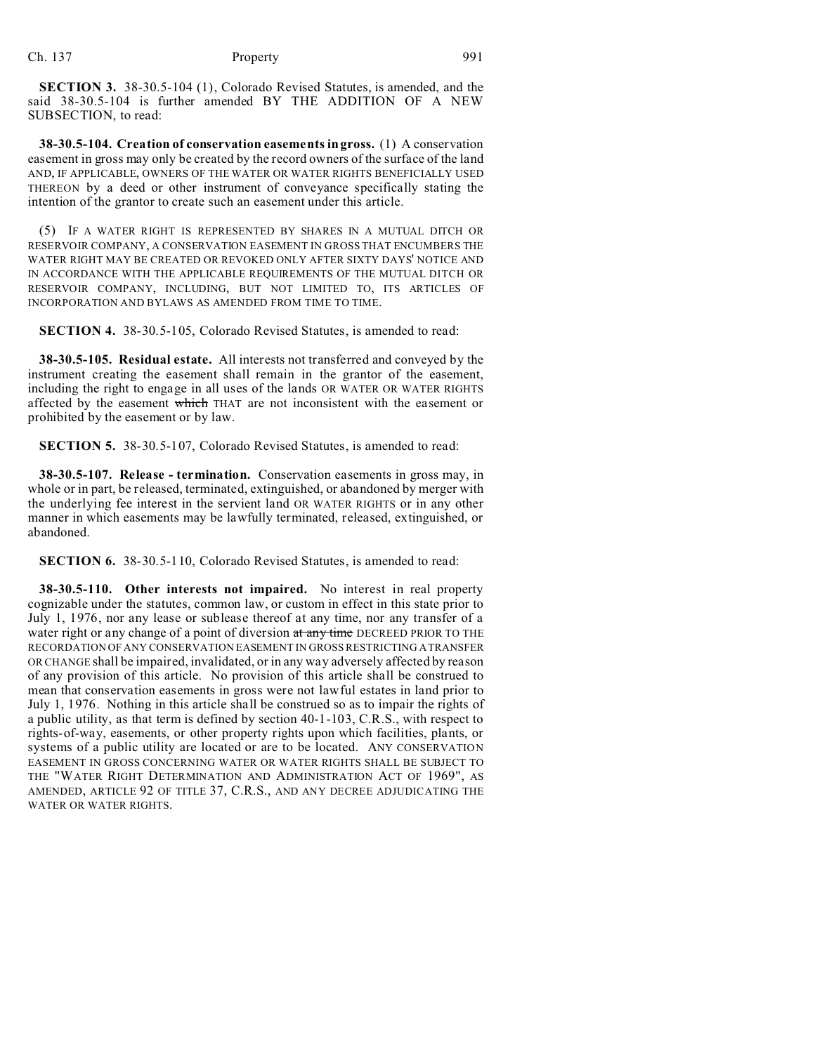**SECTION 3.** 38-30.5-104 (1), Colorado Revised Statutes, is amended, and the said 38-30.5-104 is further amended BY THE ADDITION OF A NEW SUBSECTION, to read:

**38-30.5-104. Creation of conservation easements in gross.** (1) A conservation easement in gross may only be created by the record owners of the surface of the land AND, IF APPLICABLE, OWNERS OF THE WATER OR WATER RIGHTS BENEFICIALLY USED THEREON by a deed or other instrument of conveyance specifically stating the intention of the grantor to create such an easement under this article.

(5) IF A WATER RIGHT IS REPRESENTED BY SHARES IN A MUTUAL DITCH OR RESERVOIR COMPANY, A CONSERVATION EASEMENT IN GROSS THAT ENCUMBERS THE WATER RIGHT MAY BE CREATED OR REVOKED ONLY AFTER SIXTY DAYS' NOTICE AND IN ACCORDANCE WITH THE APPLICABLE REQUIREMENTS OF THE MUTUAL DITCH OR RESERVOIR COMPANY, INCLUDING, BUT NOT LIMITED TO, ITS ARTICLES OF INCORPORATION AND BYLAWS AS AMENDED FROM TIME TO TIME.

**SECTION 4.** 38-30.5-105, Colorado Revised Statutes, is amended to read:

**38-30.5-105. Residual estate.** All interests not transferred and conveyed by the instrument creating the easement shall remain in the grantor of the easement, including the right to engage in all uses of the lands OR WATER OR WATER RIGHTS affected by the easement which THAT are not inconsistent with the easement or prohibited by the easement or by law.

**SECTION 5.** 38-30.5-107, Colorado Revised Statutes, is amended to read:

**38-30.5-107. Release - termination.** Conservation easements in gross may, in whole or in part, be released, terminated, extinguished, or abandoned by merger with the underlying fee interest in the servient land OR WATER RIGHTS or in any other manner in which easements may be lawfully terminated, released, extinguished, or abandoned.

**SECTION 6.** 38-30.5-110, Colorado Revised Statutes, is amended to read:

**38-30.5-110. Other interests not impaired.** No interest in real property cognizable under the statutes, common law, or custom in effect in this state prior to July 1, 1976, nor any lease or sublease thereof at any time, nor any transfer of a water right or any change of a point of diversion at any time DECREED PRIOR TO THE RECORDATION OF ANY CONSERVATION EASEMENT IN GROSS RESTRICTING A TRANSFER OR CHANGE shall be impaired, invalidated, or in any way adversely affected by reason of any provision of this article. No provision of this article shall be construed to mean that conservation easements in gross were not lawful estates in land prior to July 1, 1976. Nothing in this article shall be construed so as to impair the rights of a public utility, as that term is defined by section 40-1-103, C.R.S., with respect to rights-of-way, easements, or other property rights upon which facilities, plants, or systems of a public utility are located or are to be located. ANY CONSERVATION EASEMENT IN GROSS CONCERNING WATER OR WATER RIGHTS SHALL BE SUBJECT TO THE "WATER RIGHT DETERMINATION AND ADMINISTRATION ACT OF 1969", AS AMENDED, ARTICLE 92 OF TITLE 37, C.R.S., AND ANY DECREE ADJUDICATING THE WATER OR WATER RIGHTS.